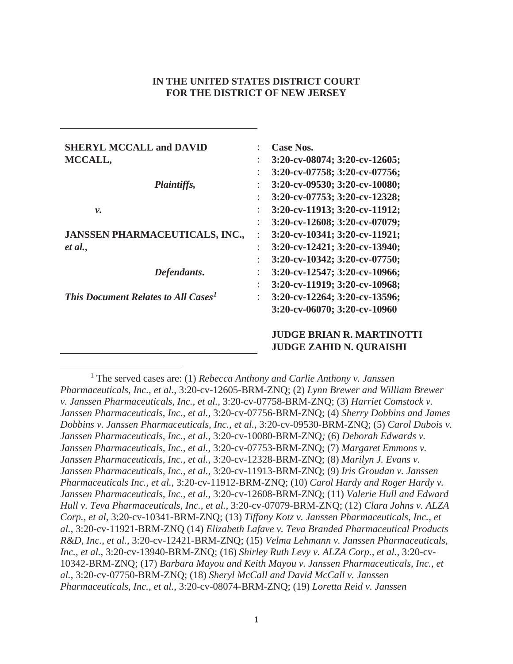# **IN THE UNITED STATES DISTRICT COURT FOR THE DISTRICT OF NEW JERSEY**

| <b>SHERYL MCCALL and DAVID</b>                  |                      | Case Nos.                           |
|-------------------------------------------------|----------------------|-------------------------------------|
| MCCALL,                                         | $\ddot{\phantom{a}}$ | $3:20$ -cv-08074; $3:20$ -cv-12605; |
|                                                 | $\ddot{\phantom{a}}$ | 3:20-cv-07758; 3:20-cv-07756;       |
| Plaintiffs,                                     |                      | 3:20-cv-09530; 3:20-cv-10080;       |
|                                                 |                      | $3:20$ -cv-07753; $3:20$ -cv-12328; |
| ν.                                              | $\ddot{\phantom{0}}$ | 3:20-cv-11913; 3:20-cv-11912;       |
|                                                 | $\ddot{\phantom{a}}$ | 3:20-cv-12608; 3:20-cv-07079;       |
| <b>JANSSEN PHARMACEUTICALS, INC.,</b>           | $\ddot{\phantom{a}}$ | 3:20-cv-10341; 3:20-cv-11921;       |
| et al.,                                         | ٠                    | $3:20$ -cv-12421; $3:20$ -cv-13940; |
|                                                 | $\ddot{\phantom{a}}$ | 3:20-cv-10342; 3:20-cv-07750;       |
| Defendants.                                     |                      | 3:20-cv-12547; 3:20-cv-10966;       |
|                                                 |                      | 3:20-cv-11919; 3:20-cv-10968;       |
| This Document Relates to All Cases <sup>1</sup> | ÷                    | 3:20-cv-12264; 3:20-cv-13596;       |
|                                                 |                      | 3:20-cv-06070; 3:20-cv-10960        |
|                                                 |                      | <b>JUDGE BRIAN R. MARTINOTTI</b>    |
|                                                 |                      | <b>JUDGE ZAHID N. QURAISHI</b>      |

 $\overline{a}$ <sup>1</sup> The served cases are: (1) *Rebecca Anthony and Carlie Anthony v. Janssen Pharmaceuticals, Inc., et al.*, 3:20-cv-12605-BRM-ZNQ; (2) *Lynn Brewer and William Brewer v. Janssen Pharmaceuticals, Inc., et al.*, 3:20-cv-07758-BRM-ZNQ; (3) *Harriet Comstock v. Janssen Pharmaceuticals, Inc., et al.*, 3:20-cv-07756-BRM-ZNQ; (4) *Sherry Dobbins and James Dobbins v. Janssen Pharmaceuticals, Inc., et al.,* 3:20-cv-09530-BRM-ZNQ; (5) *Carol Dubois v. Janssen Pharmaceuticals, Inc., et al.,* 3:20-cv-10080-BRM-ZNQ*;* (6) *Deborah Edwards v. Janssen Pharmaceuticals, Inc., et al.*, 3:20-cv-07753-BRM-ZNQ; (7) *Margaret Emmons v. Janssen Pharmaceuticals, Inc., et al.*, 3:20-cv-12328-BRM-ZNQ; (8) *Marilyn J. Evans v. Janssen Pharmaceuticals, Inc., et al.*, 3:20-cv-11913-BRM-ZNQ; (9) *Iris Groudan v. Janssen Pharmaceuticals Inc., et al.*, 3:20-cv-11912-BRM-ZNQ; (10) *Carol Hardy and Roger Hardy v. Janssen Pharmaceuticals, Inc., et al.*, 3:20-cv-12608-BRM-ZNQ; (11) *Valerie Hull and Edward Hull v. Teva Pharmaceuticals, Inc., et al.,* 3:20-cv-07079-BRM-ZNQ; (12) *Clara Johns v. ALZA Corp., et al,* 3:20-cv-10341-BRM-ZNQ; (13) *Tiffany Kotz v. Janssen Pharmaceuticals, Inc., et al.*, 3:20-cv-11921-BRM-ZNQ (14) *Elizabeth Lafave v. Teva Branded Pharmaceutical Products R&D, Inc., et al.*, 3:20-cv-12421-BRM-ZNQ; (15) *Velma Lehmann v. Janssen Pharmaceuticals, Inc., et al.*, 3:20-cv-13940-BRM-ZNQ; (16) *Shirley Ruth Levy v. ALZA Corp., et al.,* 3:20-cv-10342-BRM-ZNQ; (17) *Barbara Mayou and Keith Mayou v. Janssen Pharmaceuticals, Inc., et al.*, 3:20-cv-07750-BRM-ZNQ; (18) *Sheryl McCall and David McCall v. Janssen Pharmaceuticals, Inc., et al.*, 3:20-cv-08074-BRM-ZNQ; (19) *Loretta Reid v. Janssen*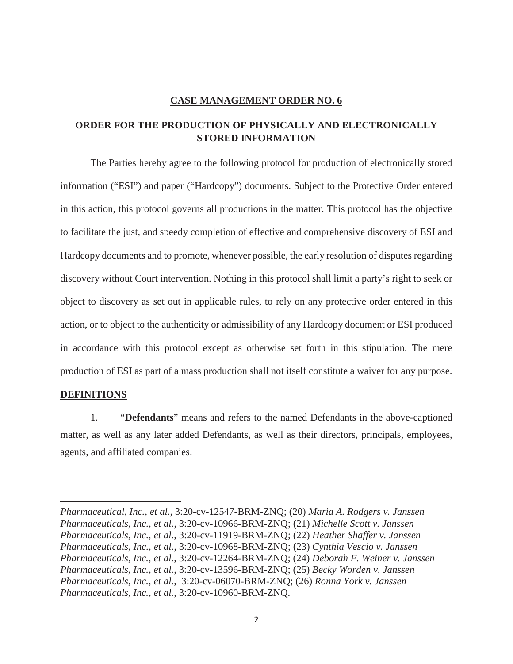# **CASE MANAGEMENT ORDER NO. 6**

# **ORDER FOR THE PRODUCTION OF PHYSICALLY AND ELECTRONICALLY STORED INFORMATION**

The Parties hereby agree to the following protocol for production of electronically stored information ("ESI") and paper ("Hardcopy") documents. Subject to the Protective Order entered in this action, this protocol governs all productions in the matter. This protocol has the objective to facilitate the just, and speedy completion of effective and comprehensive discovery of ESI and Hardcopy documents and to promote, whenever possible, the early resolution of disputes regarding discovery without Court intervention. Nothing in this protocol shall limit a party's right to seek or object to discovery as set out in applicable rules, to rely on any protective order entered in this action, or to object to the authenticity or admissibility of any Hardcopy document or ESI produced in accordance with this protocol except as otherwise set forth in this stipulation. The mere production of ESI as part of a mass production shall not itself constitute a waiver for any purpose.

# **DEFINITIONS**

 $\overline{a}$ 

1. "**Defendants**" means and refers to the named Defendants in the above-captioned matter, as well as any later added Defendants, as well as their directors, principals, employees, agents, and affiliated companies.

*Pharmaceutical, Inc., et al.*, 3:20-cv-12547-BRM-ZNQ; (20) *Maria A. Rodgers v. Janssen Pharmaceuticals, Inc., et al.,* 3:20-cv-10966-BRM-ZNQ; (21) *Michelle Scott v. Janssen Pharmaceuticals, Inc., et al.*, 3:20-cv-11919-BRM-ZNQ; (22) *Heather Shaffer v. Janssen Pharmaceuticals, Inc., et al.,* 3:20-cv-10968-BRM-ZNQ; (23) *Cynthia Vescio v. Janssen Pharmaceuticals, Inc., et al.*, 3:20-cv-12264-BRM-ZNQ; (24) *Deborah F. Weiner v. Janssen Pharmaceuticals, Inc., et al.*, 3:20-cv-13596-BRM-ZNQ; (25) *Becky Worden v. Janssen Pharmaceuticals, Inc., et al.*, 3:20-cv-06070-BRM-ZNQ; (26) *Ronna York v. Janssen Pharmaceuticals, Inc., et al.*, 3:20-cv-10960-BRM-ZNQ.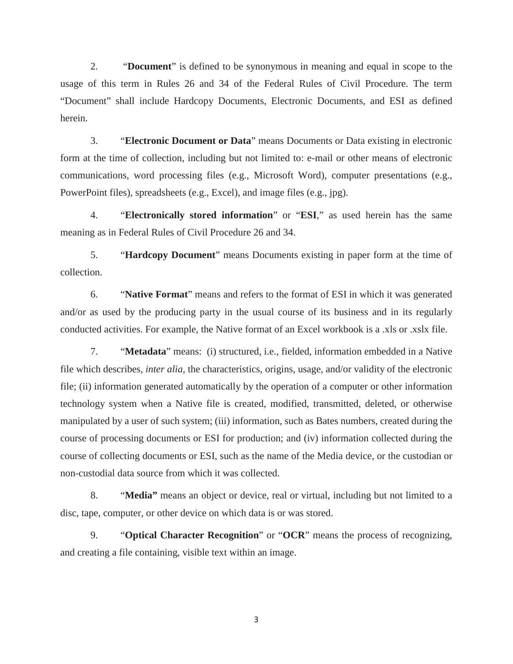2. "**Document**" is defined to be synonymous in meaning and equal in scope to the usage of this term in Rules 26 and 34 of the Federal Rules of Civil Procedure. The term "Document" shall include Hardcopy Documents, Electronic Documents, and ESI as defined herein.

3. "**Electronic Document or Data**" means Documents or Data existing in electronic form at the time of collection, including but not limited to: e-mail or other means of electronic communications, word processing files (e.g., Microsoft Word), computer presentations (e.g., PowerPoint files), spreadsheets (e.g., Excel), and image files (e.g., jpg).

4. "**Electronically stored information**" or "**ESI**," as used herein has the same meaning as in Federal Rules of Civil Procedure 26 and 34.

5. "**Hardcopy Document**" means Documents existing in paper form at the time of collection.

6. "**Native Format**" means and refers to the format of ESI in which it was generated and/or as used by the producing party in the usual course of its business and in its regularly conducted activities. For example, the Native format of an Excel workbook is a .xls or .xslx file.

7. "**Metadata**" means: (i) structured, i.e., fielded, information embedded in a Native file which describes, *inter alia,* the characteristics, origins, usage, and/or validity of the electronic file; (ii) information generated automatically by the operation of a computer or other information technology system when a Native file is created, modified, transmitted, deleted, or otherwise manipulated by a user of such system; (iii) information, such as Bates numbers, created during the course of processing documents or ESI for production; and (iv) information collected during the course of collecting documents or ESI, such as the name of the Media device, or the custodian or non-custodial data source from which it was collected.

8. "**Media"** means an object or device, real or virtual, including but not limited to a disc, tape, computer, or other device on which data is or was stored.

9. "**Optical Character Recognition**" or "**OCR**" means the process of recognizing, and creating a file containing, visible text within an image.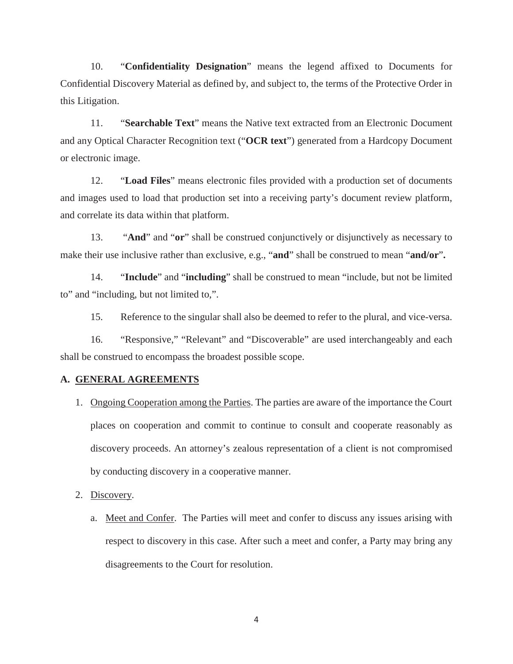10. "**Confidentiality Designation**" means the legend affixed to Documents for Confidential Discovery Material as defined by, and subject to, the terms of the Protective Order in this Litigation.

11. "**Searchable Text**" means the Native text extracted from an Electronic Document and any Optical Character Recognition text ("**OCR text**") generated from a Hardcopy Document or electronic image.

12. "**Load Files**" means electronic files provided with a production set of documents and images used to load that production set into a receiving party's document review platform, and correlate its data within that platform.

13. "**And**" and "**or**" shall be construed conjunctively or disjunctively as necessary to make their use inclusive rather than exclusive, e.g., "**and**" shall be construed to mean "**and/or**"**.**

14. "**Include**" and "**including**" shall be construed to mean "include, but not be limited to" and "including, but not limited to,".

15. Reference to the singular shall also be deemed to refer to the plural, and vice-versa.

16. "Responsive," "Relevant" and "Discoverable" are used interchangeably and each shall be construed to encompass the broadest possible scope.

### **A. GENERAL AGREEMENTS**

1. Ongoing Cooperation among the Parties. The parties are aware of the importance the Court places on cooperation and commit to continue to consult and cooperate reasonably as discovery proceeds. An attorney's zealous representation of a client is not compromised by conducting discovery in a cooperative manner.

2. Discovery.

a. Meet and Confer. The Parties will meet and confer to discuss any issues arising with respect to discovery in this case. After such a meet and confer, a Party may bring any disagreements to the Court for resolution.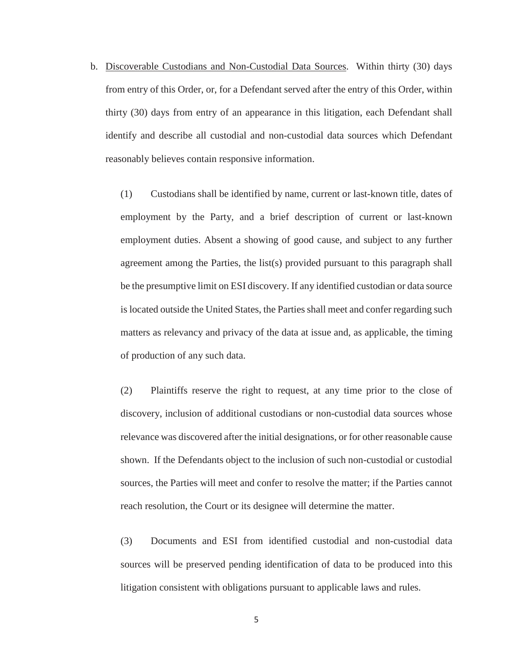b. Discoverable Custodians and Non-Custodial Data Sources. Within thirty (30) days from entry of this Order, or, for a Defendant served after the entry of this Order, within thirty (30) days from entry of an appearance in this litigation, each Defendant shall identify and describe all custodial and non-custodial data sources which Defendant reasonably believes contain responsive information.

(1) Custodians shall be identified by name, current or last-known title, dates of employment by the Party, and a brief description of current or last-known employment duties. Absent a showing of good cause, and subject to any further agreement among the Parties, the list(s) provided pursuant to this paragraph shall be the presumptive limit on ESI discovery. If any identified custodian or data source is located outside the United States, the Parties shall meet and confer regarding such matters as relevancy and privacy of the data at issue and, as applicable, the timing of production of any such data.

(2) Plaintiffs reserve the right to request, at any time prior to the close of discovery, inclusion of additional custodians or non-custodial data sources whose relevance was discovered after the initial designations, or for other reasonable cause shown. If the Defendants object to the inclusion of such non-custodial or custodial sources, the Parties will meet and confer to resolve the matter; if the Parties cannot reach resolution, the Court or its designee will determine the matter.

(3) Documents and ESI from identified custodial and non-custodial data sources will be preserved pending identification of data to be produced into this litigation consistent with obligations pursuant to applicable laws and rules.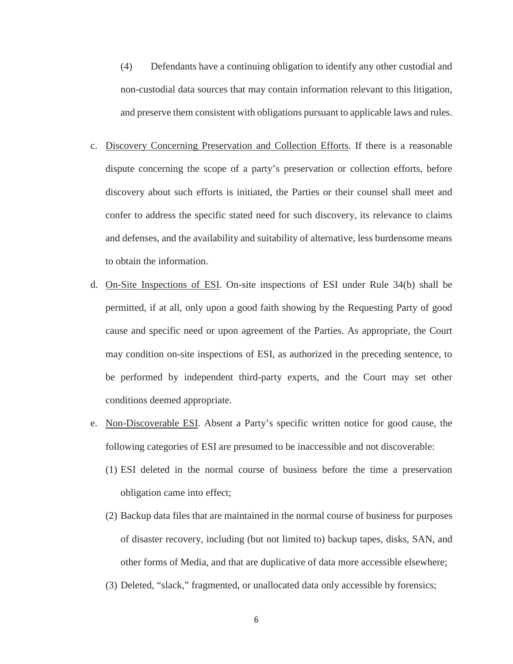- (4) Defendants have a continuing obligation to identify any other custodial and non-custodial data sources that may contain information relevant to this litigation, and preserve them consistent with obligations pursuant to applicable laws and rules.
- c. Discovery Concerning Preservation and Collection Efforts. If there is a reasonable dispute concerning the scope of a party's preservation or collection efforts, before discovery about such efforts is initiated, the Parties or their counsel shall meet and confer to address the specific stated need for such discovery, its relevance to claims and defenses, and the availability and suitability of alternative, less burdensome means to obtain the information.
- d. On-Site Inspections of ESI. On-site inspections of ESI under Rule 34(b) shall be permitted, if at all, only upon a good faith showing by the Requesting Party of good cause and specific need or upon agreement of the Parties. As appropriate, the Court may condition on-site inspections of ESI, as authorized in the preceding sentence, to be performed by independent third-party experts, and the Court may set other conditions deemed appropriate.
- e. Non-Discoverable ESI. Absent a Party's specific written notice for good cause, the following categories of ESI are presumed to be inaccessible and not discoverable:
	- (1) ESI deleted in the normal course of business before the time a preservation obligation came into effect;
	- (2) Backup data files that are maintained in the normal course of business for purposes of disaster recovery, including (but not limited to) backup tapes, disks, SAN, and other forms of Media, and that are duplicative of data more accessible elsewhere;
	- (3) Deleted, "slack," fragmented, or unallocated data only accessible by forensics;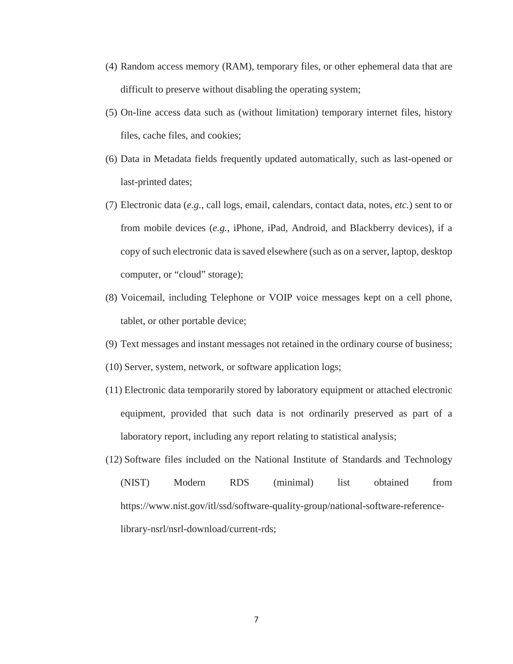- (4) Random access memory (RAM), temporary files, or other ephemeral data that are difficult to preserve without disabling the operating system;
- (5) On-line access data such as (without limitation) temporary internet files, history files, cache files, and cookies;
- (6) Data in Metadata fields frequently updated automatically, such as last-opened or last-printed dates;
- (7) Electronic data (*e.g.*, call logs, email, calendars, contact data, notes, *etc.*) sent to or from mobile devices (*e.g.*, iPhone, iPad, Android, and Blackberry devices), if a copy of such electronic data is saved elsewhere (such as on a server, laptop, desktop computer, or "cloud" storage);
- (8) Voicemail, including Telephone or VOIP voice messages kept on a cell phone, tablet, or other portable device;
- (9) Text messages and instant messages not retained in the ordinary course of business;
- (10) Server, system, network, or software application logs;
- (11) Electronic data temporarily stored by laboratory equipment or attached electronic equipment, provided that such data is not ordinarily preserved as part of a laboratory report, including any report relating to statistical analysis;
- (12) Software files included on the National Institute of Standards and Technology (NIST) Modern RDS (minimal) list obtained from https://www.nist.gov/itl/ssd/software-quality-group/national-software-referencelibrary-nsrl/nsrl-download/current-rds;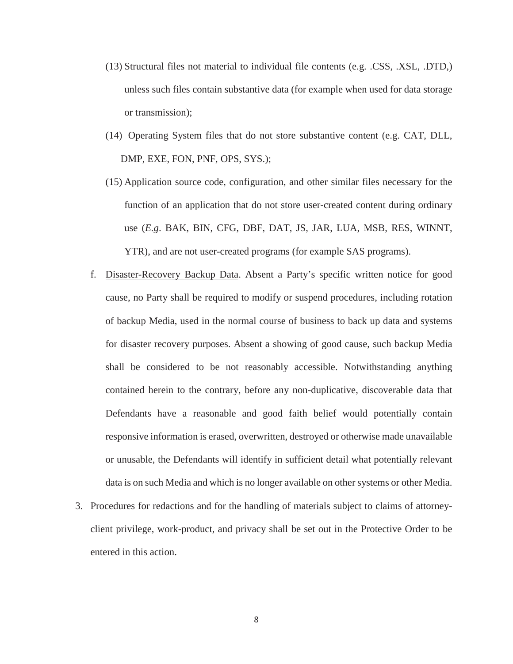- (13) Structural files not material to individual file contents (e.g. .CSS, .XSL, .DTD,) unless such files contain substantive data (for example when used for data storage or transmission);
- (14) Operating System files that do not store substantive content (e.g. CAT, DLL, DMP, EXE, FON, PNF, OPS, SYS.);
- (15) Application source code, configuration, and other similar files necessary for the function of an application that do not store user-created content during ordinary use (*E.g*. BAK, BIN, CFG, DBF, DAT, JS, JAR, LUA, MSB, RES, WINNT, YTR), and are not user-created programs (for example SAS programs).
- f. Disaster-Recovery Backup Data. Absent a Party's specific written notice for good cause, no Party shall be required to modify or suspend procedures, including rotation of backup Media, used in the normal course of business to back up data and systems for disaster recovery purposes. Absent a showing of good cause, such backup Media shall be considered to be not reasonably accessible. Notwithstanding anything contained herein to the contrary, before any non-duplicative, discoverable data that Defendants have a reasonable and good faith belief would potentially contain responsive information is erased, overwritten, destroyed or otherwise made unavailable or unusable, the Defendants will identify in sufficient detail what potentially relevant data is on such Media and which is no longer available on other systems or other Media.
- 3. Procedures for redactions and for the handling of materials subject to claims of attorneyclient privilege, work-product, and privacy shall be set out in the Protective Order to be entered in this action.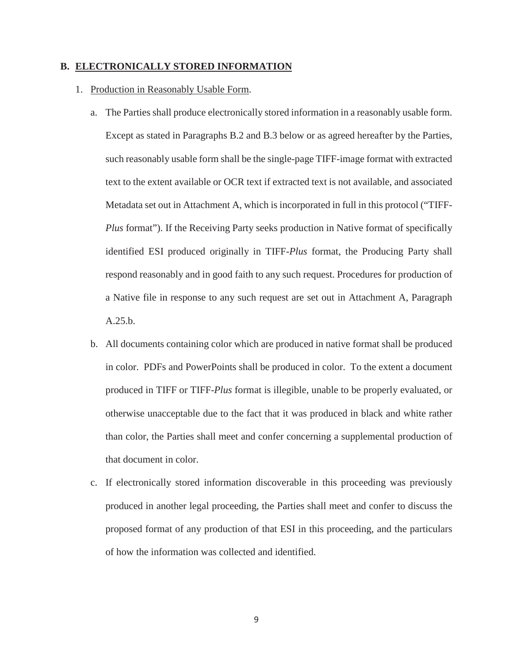#### **B. ELECTRONICALLY STORED INFORMATION**

- 1. Production in Reasonably Usable Form.
	- a. The Parties shall produce electronically stored information in a reasonably usable form. Except as stated in Paragraphs B.2 and B.3 below or as agreed hereafter by the Parties, such reasonably usable form shall be the single-page TIFF-image format with extracted text to the extent available or OCR text if extracted text is not available, and associated Metadata set out in Attachment A, which is incorporated in full in this protocol ("TIFF-*Plus* format"). If the Receiving Party seeks production in Native format of specifically identified ESI produced originally in TIFF-*Plus* format, the Producing Party shall respond reasonably and in good faith to any such request. Procedures for production of a Native file in response to any such request are set out in Attachment A, Paragraph A.25.b.
	- b. All documents containing color which are produced in native format shall be produced in color. PDFs and PowerPoints shall be produced in color. To the extent a document produced in TIFF or TIFF-*Plus* format is illegible, unable to be properly evaluated, or otherwise unacceptable due to the fact that it was produced in black and white rather than color, the Parties shall meet and confer concerning a supplemental production of that document in color.
	- c. If electronically stored information discoverable in this proceeding was previously produced in another legal proceeding, the Parties shall meet and confer to discuss the proposed format of any production of that ESI in this proceeding, and the particulars of how the information was collected and identified.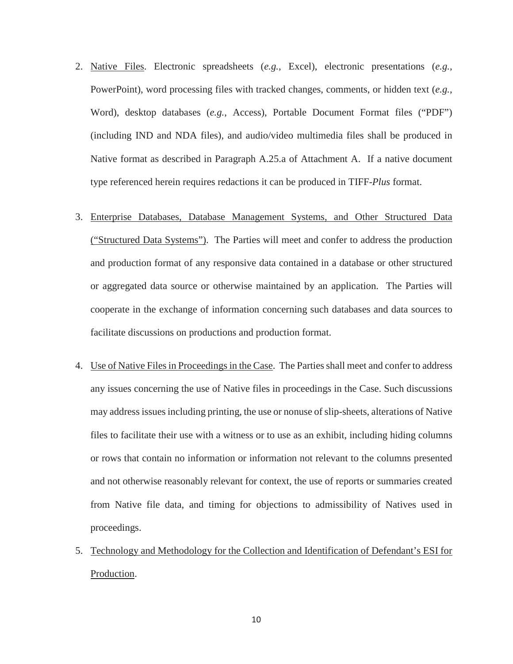- 2. Native Files. Electronic spreadsheets (*e.g.*, Excel), electronic presentations (*e.g.*, PowerPoint), word processing files with tracked changes, comments, or hidden text (*e.g.*, Word), desktop databases (*e.g.*, Access), Portable Document Format files ("PDF") (including IND and NDA files), and audio/video multimedia files shall be produced in Native format as described in Paragraph A.25.a of Attachment A. If a native document type referenced herein requires redactions it can be produced in TIFF-*Plus* format.
- 3. Enterprise Databases, Database Management Systems, and Other Structured Data ("Structured Data Systems"). The Parties will meet and confer to address the production and production format of any responsive data contained in a database or other structured or aggregated data source or otherwise maintained by an application. The Parties will cooperate in the exchange of information concerning such databases and data sources to facilitate discussions on productions and production format.
- 4. Use of Native Files in Proceedings in the Case. The Parties shall meet and confer to address any issues concerning the use of Native files in proceedings in the Case. Such discussions may address issues including printing, the use or nonuse of slip-sheets, alterations of Native files to facilitate their use with a witness or to use as an exhibit, including hiding columns or rows that contain no information or information not relevant to the columns presented and not otherwise reasonably relevant for context, the use of reports or summaries created from Native file data, and timing for objections to admissibility of Natives used in proceedings.
- 5. Technology and Methodology for the Collection and Identification of Defendant's ESI for Production.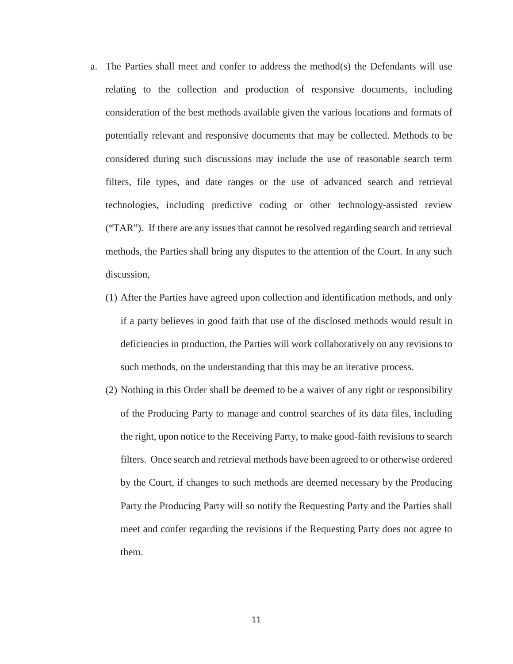- a. The Parties shall meet and confer to address the method(s) the Defendants will use relating to the collection and production of responsive documents, including consideration of the best methods available given the various locations and formats of potentially relevant and responsive documents that may be collected. Methods to be considered during such discussions may include the use of reasonable search term filters, file types, and date ranges or the use of advanced search and retrieval technologies, including predictive coding or other technology-assisted review ("TAR"). If there are any issues that cannot be resolved regarding search and retrieval methods, the Parties shall bring any disputes to the attention of the Court. In any such discussion,
	- (1) After the Parties have agreed upon collection and identification methods, and only if a party believes in good faith that use of the disclosed methods would result in deficiencies in production, the Parties will work collaboratively on any revisions to such methods, on the understanding that this may be an iterative process.
	- (2) Nothing in this Order shall be deemed to be a waiver of any right or responsibility of the Producing Party to manage and control searches of its data files, including the right, upon notice to the Receiving Party, to make good-faith revisions to search filters. Once search and retrieval methods have been agreed to or otherwise ordered by the Court, if changes to such methods are deemed necessary by the Producing Party the Producing Party will so notify the Requesting Party and the Parties shall meet and confer regarding the revisions if the Requesting Party does not agree to them.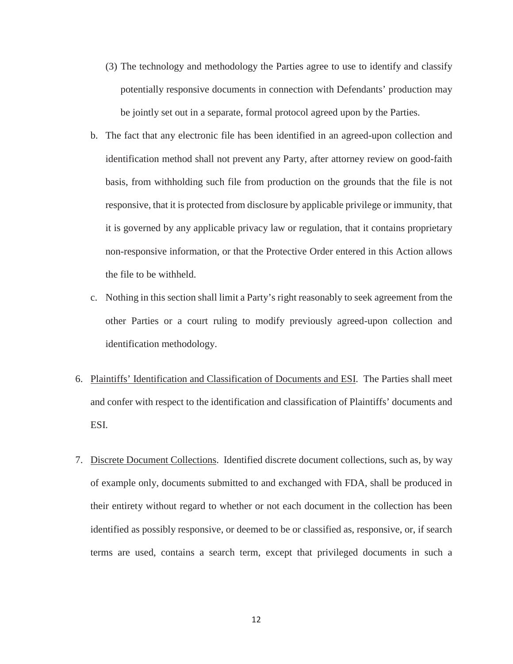- (3) The technology and methodology the Parties agree to use to identify and classify potentially responsive documents in connection with Defendants' production may be jointly set out in a separate, formal protocol agreed upon by the Parties.
- b. The fact that any electronic file has been identified in an agreed-upon collection and identification method shall not prevent any Party, after attorney review on good-faith basis, from withholding such file from production on the grounds that the file is not responsive, that it is protected from disclosure by applicable privilege or immunity, that it is governed by any applicable privacy law or regulation, that it contains proprietary non-responsive information, or that the Protective Order entered in this Action allows the file to be withheld.
- c. Nothing in this section shall limit a Party's right reasonably to seek agreement from the other Parties or a court ruling to modify previously agreed-upon collection and identification methodology.
- 6. Plaintiffs' Identification and Classification of Documents and ESI. The Parties shall meet and confer with respect to the identification and classification of Plaintiffs' documents and ESI.
- 7. Discrete Document Collections. Identified discrete document collections, such as, by way of example only, documents submitted to and exchanged with FDA, shall be produced in their entirety without regard to whether or not each document in the collection has been identified as possibly responsive, or deemed to be or classified as, responsive, or, if search terms are used, contains a search term, except that privileged documents in such a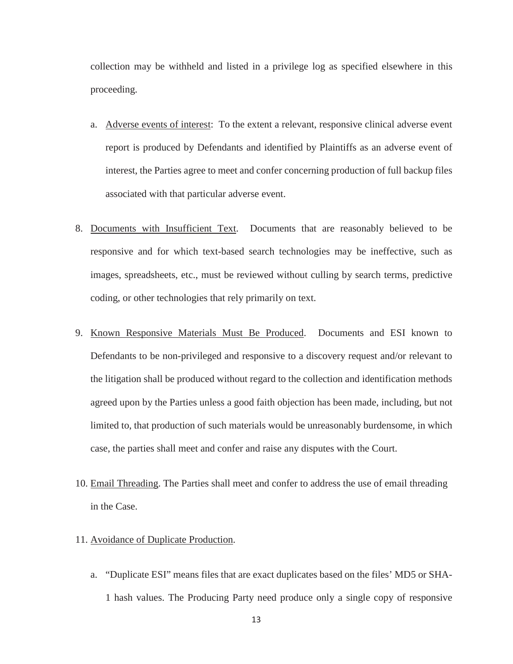collection may be withheld and listed in a privilege log as specified elsewhere in this proceeding.

- a. Adverse events of interest: To the extent a relevant, responsive clinical adverse event report is produced by Defendants and identified by Plaintiffs as an adverse event of interest, the Parties agree to meet and confer concerning production of full backup files associated with that particular adverse event.
- 8. Documents with Insufficient Text. Documents that are reasonably believed to be responsive and for which text-based search technologies may be ineffective, such as images, spreadsheets, etc., must be reviewed without culling by search terms, predictive coding, or other technologies that rely primarily on text.
- 9. Known Responsive Materials Must Be Produced. Documents and ESI known to Defendants to be non-privileged and responsive to a discovery request and/or relevant to the litigation shall be produced without regard to the collection and identification methods agreed upon by the Parties unless a good faith objection has been made, including, but not limited to, that production of such materials would be unreasonably burdensome, in which case, the parties shall meet and confer and raise any disputes with the Court.
- 10. Email Threading. The Parties shall meet and confer to address the use of email threading in the Case.
- 11. Avoidance of Duplicate Production.
	- a. "Duplicate ESI" means files that are exact duplicates based on the files' MD5 or SHA-1 hash values. The Producing Party need produce only a single copy of responsive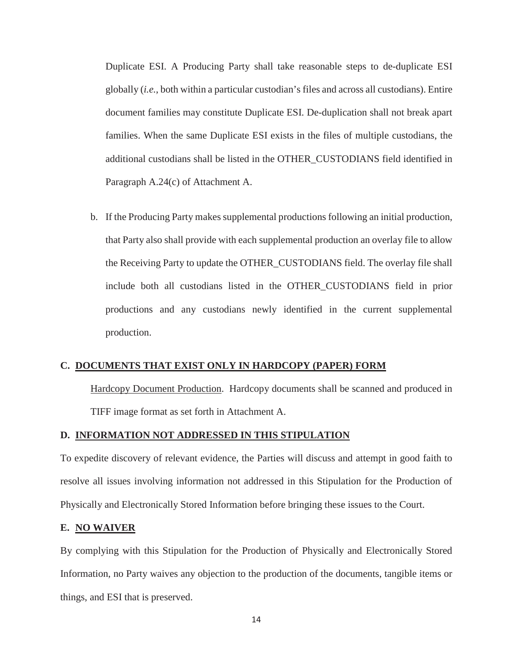Duplicate ESI. A Producing Party shall take reasonable steps to de-duplicate ESI globally (*i.e.*, both within a particular custodian's files and across all custodians). Entire document families may constitute Duplicate ESI. De-duplication shall not break apart families. When the same Duplicate ESI exists in the files of multiple custodians, the additional custodians shall be listed in the OTHER\_CUSTODIANS field identified in Paragraph A.24(c) of Attachment A.

b. If the Producing Party makes supplemental productions following an initial production, that Party also shall provide with each supplemental production an overlay file to allow the Receiving Party to update the OTHER\_CUSTODIANS field. The overlay file shall include both all custodians listed in the OTHER\_CUSTODIANS field in prior productions and any custodians newly identified in the current supplemental production.

#### **C. DOCUMENTS THAT EXIST ONLY IN HARDCOPY (PAPER) FORM**

Hardcopy Document Production. Hardcopy documents shall be scanned and produced in TIFF image format as set forth in Attachment A.

### **D. INFORMATION NOT ADDRESSED IN THIS STIPULATION**

To expedite discovery of relevant evidence, the Parties will discuss and attempt in good faith to resolve all issues involving information not addressed in this Stipulation for the Production of Physically and Electronically Stored Information before bringing these issues to the Court.

#### **E. NO WAIVER**

By complying with this Stipulation for the Production of Physically and Electronically Stored Information, no Party waives any objection to the production of the documents, tangible items or things, and ESI that is preserved.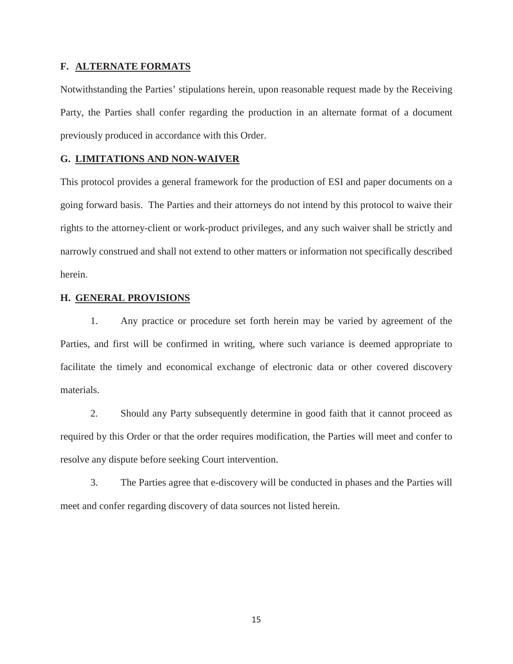#### **F. ALTERNATE FORMATS**

Notwithstanding the Parties' stipulations herein, upon reasonable request made by the Receiving Party, the Parties shall confer regarding the production in an alternate format of a document previously produced in accordance with this Order.

# **G. LIMITATIONS AND NON-WAIVER**

This protocol provides a general framework for the production of ESI and paper documents on a going forward basis. The Parties and their attorneys do not intend by this protocol to waive their rights to the attorney-client or work-product privileges, and any such waiver shall be strictly and narrowly construed and shall not extend to other matters or information not specifically described herein.

### **H. GENERAL PROVISIONS**

1. Any practice or procedure set forth herein may be varied by agreement of the Parties, and first will be confirmed in writing, where such variance is deemed appropriate to facilitate the timely and economical exchange of electronic data or other covered discovery materials.

2. Should any Party subsequently determine in good faith that it cannot proceed as required by this Order or that the order requires modification, the Parties will meet and confer to resolve any dispute before seeking Court intervention.

3. The Parties agree that e-discovery will be conducted in phases and the Parties will meet and confer regarding discovery of data sources not listed herein.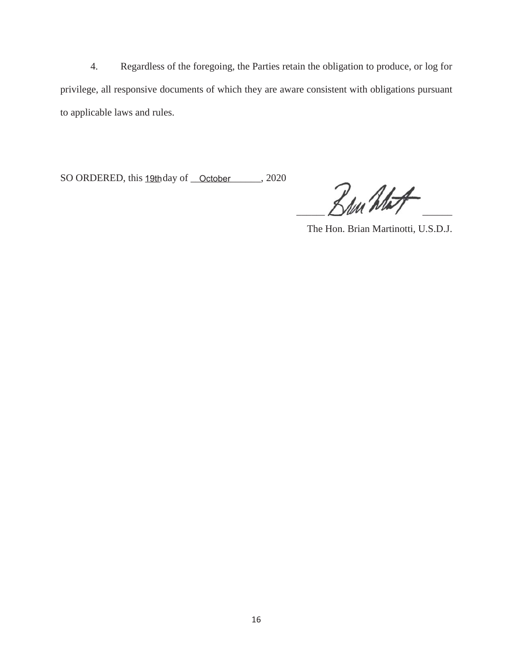4. Regardless of the foregoing, the Parties retain the obligation to produce, or log for privilege, all responsive documents of which they are aware consistent with obligations pursuant to applicable laws and rules.

SO ORDERED, this 19th day of October 2020

 $\Box$ 

The Hon. Brian Martinotti, U.S.D.J.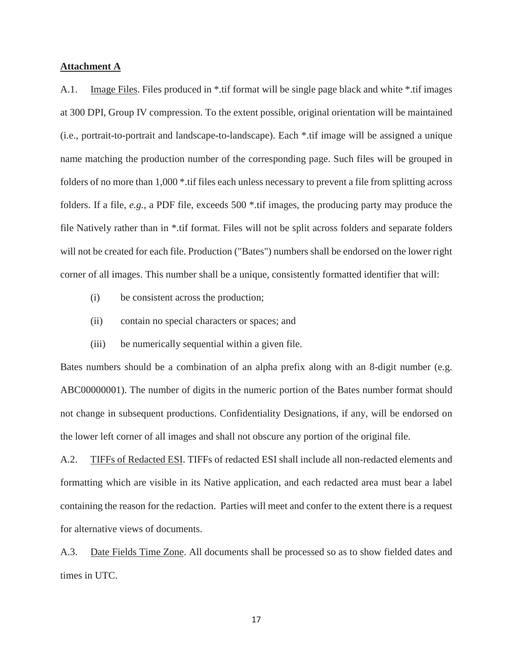#### **Attachment A**

A.1. Image Files. Files produced in \*.tif format will be single page black and white \*.tif images at 300 DPI, Group IV compression. To the extent possible, original orientation will be maintained (i.e., portrait-to-portrait and landscape-to-landscape). Each \*.tif image will be assigned a unique name matching the production number of the corresponding page. Such files will be grouped in folders of no more than 1,000 \*.tif files each unless necessary to prevent a file from splitting across folders. If a file, *e.g.*, a PDF file, exceeds 500 \*.tif images, the producing party may produce the file Natively rather than in \*.tif format. Files will not be split across folders and separate folders will not be created for each file. Production ("Bates") numbers shall be endorsed on the lower right corner of all images. This number shall be a unique, consistently formatted identifier that will:

- (i) be consistent across the production;
- (ii) contain no special characters or spaces; and
- (iii) be numerically sequential within a given file.

Bates numbers should be a combination of an alpha prefix along with an 8-digit number (e.g. ABC00000001). The number of digits in the numeric portion of the Bates number format should not change in subsequent productions. Confidentiality Designations, if any, will be endorsed on the lower left corner of all images and shall not obscure any portion of the original file.

A.2. TIFFs of Redacted ESI. TIFFs of redacted ESI shall include all non-redacted elements and formatting which are visible in its Native application, and each redacted area must bear a label containing the reason for the redaction. Parties will meet and confer to the extent there is a request for alternative views of documents.

A.3. Date Fields Time Zone. All documents shall be processed so as to show fielded dates and times in UTC.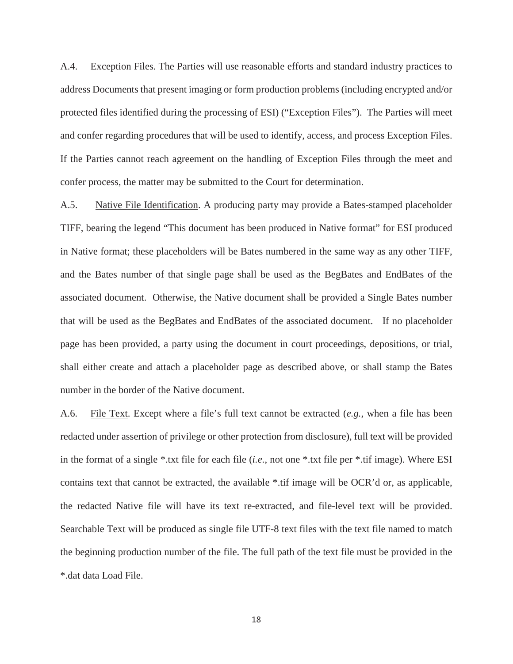A.4. Exception Files. The Parties will use reasonable efforts and standard industry practices to address Documents that present imaging or form production problems (including encrypted and/or protected files identified during the processing of ESI) ("Exception Files"). The Parties will meet and confer regarding procedures that will be used to identify, access, and process Exception Files. If the Parties cannot reach agreement on the handling of Exception Files through the meet and confer process, the matter may be submitted to the Court for determination.

A.5. Native File Identification. A producing party may provide a Bates-stamped placeholder TIFF, bearing the legend "This document has been produced in Native format" for ESI produced in Native format; these placeholders will be Bates numbered in the same way as any other TIFF, and the Bates number of that single page shall be used as the BegBates and EndBates of the associated document. Otherwise, the Native document shall be provided a Single Bates number that will be used as the BegBates and EndBates of the associated document. If no placeholder page has been provided, a party using the document in court proceedings, depositions, or trial, shall either create and attach a placeholder page as described above, or shall stamp the Bates number in the border of the Native document.

A.6. File Text. Except where a file's full text cannot be extracted (*e.g.*, when a file has been redacted under assertion of privilege or other protection from disclosure), full text will be provided in the format of a single \*.txt file for each file (*i.e.*, not one \*.txt file per \*.tif image). Where ESI contains text that cannot be extracted, the available \*.tif image will be OCR'd or, as applicable, the redacted Native file will have its text re-extracted, and file-level text will be provided. Searchable Text will be produced as single file UTF-8 text files with the text file named to match the beginning production number of the file. The full path of the text file must be provided in the \*.dat data Load File.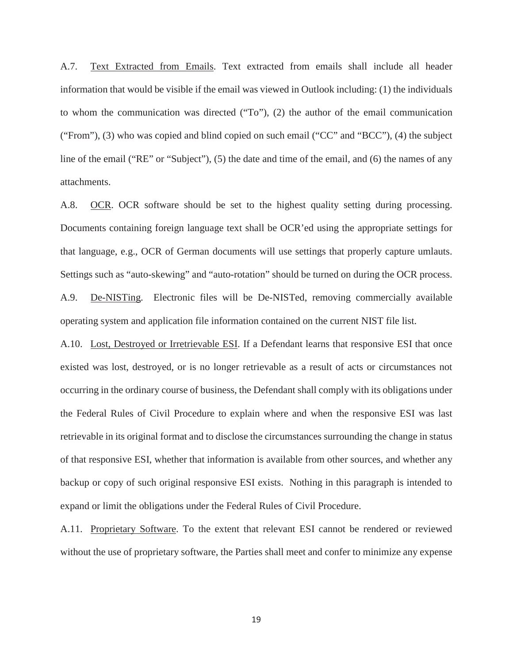A.7. Text Extracted from Emails. Text extracted from emails shall include all header information that would be visible if the email was viewed in Outlook including: (1) the individuals to whom the communication was directed ("To"), (2) the author of the email communication ("From"), (3) who was copied and blind copied on such email ("CC" and "BCC"), (4) the subject line of the email ("RE" or "Subject"), (5) the date and time of the email, and (6) the names of any attachments.

A.8. OCR. OCR software should be set to the highest quality setting during processing. Documents containing foreign language text shall be OCR'ed using the appropriate settings for that language, e.g., OCR of German documents will use settings that properly capture umlauts. Settings such as "auto-skewing" and "auto-rotation" should be turned on during the OCR process. A.9. De-NISTing. Electronic files will be De-NISTed, removing commercially available operating system and application file information contained on the current NIST file list.

A.10. Lost, Destroyed or Irretrievable ESI. If a Defendant learns that responsive ESI that once existed was lost, destroyed, or is no longer retrievable as a result of acts or circumstances not occurring in the ordinary course of business, the Defendant shall comply with its obligations under the Federal Rules of Civil Procedure to explain where and when the responsive ESI was last retrievable in its original format and to disclose the circumstances surrounding the change in status of that responsive ESI, whether that information is available from other sources, and whether any backup or copy of such original responsive ESI exists. Nothing in this paragraph is intended to expand or limit the obligations under the Federal Rules of Civil Procedure.

A.11. Proprietary Software. To the extent that relevant ESI cannot be rendered or reviewed without the use of proprietary software, the Parties shall meet and confer to minimize any expense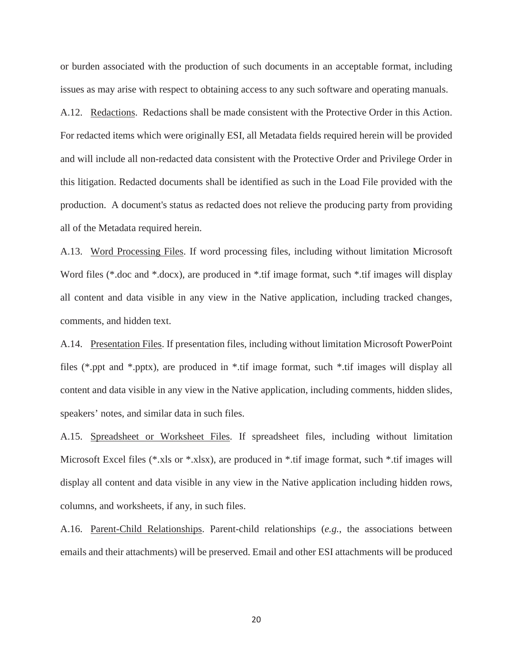or burden associated with the production of such documents in an acceptable format, including issues as may arise with respect to obtaining access to any such software and operating manuals.

A.12. Redactions. Redactions shall be made consistent with the Protective Order in this Action. For redacted items which were originally ESI, all Metadata fields required herein will be provided and will include all non-redacted data consistent with the Protective Order and Privilege Order in this litigation. Redacted documents shall be identified as such in the Load File provided with the production. A document's status as redacted does not relieve the producing party from providing all of the Metadata required herein.

A.13. Word Processing Files. If word processing files, including without limitation Microsoft Word files (\*.doc and \*.docx), are produced in \*.tif image format, such \*.tif images will display all content and data visible in any view in the Native application, including tracked changes, comments, and hidden text.

A.14. Presentation Files. If presentation files, including without limitation Microsoft PowerPoint files (\*.ppt and \*.pptx), are produced in \*.tif image format, such \*.tif images will display all content and data visible in any view in the Native application, including comments, hidden slides, speakers' notes, and similar data in such files.

A.15. Spreadsheet or Worksheet Files. If spreadsheet files, including without limitation Microsoft Excel files (\*.xls or \*.xlsx), are produced in \*.tif image format, such \*.tif images will display all content and data visible in any view in the Native application including hidden rows, columns, and worksheets, if any, in such files.

A.16. Parent-Child Relationships. Parent-child relationships (*e.g.*, the associations between emails and their attachments) will be preserved. Email and other ESI attachments will be produced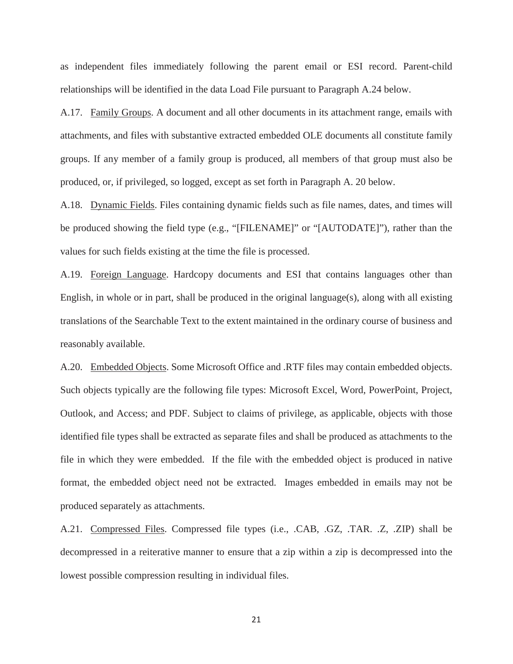as independent files immediately following the parent email or ESI record. Parent-child relationships will be identified in the data Load File pursuant to Paragraph A.24 below.

A.17. Family Groups. A document and all other documents in its attachment range, emails with attachments, and files with substantive extracted embedded OLE documents all constitute family groups. If any member of a family group is produced, all members of that group must also be produced, or, if privileged, so logged, except as set forth in Paragraph A. 20 below.

A.18. Dynamic Fields. Files containing dynamic fields such as file names, dates, and times will be produced showing the field type (e.g., "[FILENAME]" or "[AUTODATE]"), rather than the values for such fields existing at the time the file is processed.

A.19. Foreign Language. Hardcopy documents and ESI that contains languages other than English, in whole or in part, shall be produced in the original language(s), along with all existing translations of the Searchable Text to the extent maintained in the ordinary course of business and reasonably available.

A.20. Embedded Objects. Some Microsoft Office and .RTF files may contain embedded objects. Such objects typically are the following file types: Microsoft Excel, Word, PowerPoint, Project, Outlook, and Access; and PDF. Subject to claims of privilege, as applicable, objects with those identified file types shall be extracted as separate files and shall be produced as attachments to the file in which they were embedded. If the file with the embedded object is produced in native format, the embedded object need not be extracted. Images embedded in emails may not be produced separately as attachments.

A.21. Compressed Files. Compressed file types (i.e., .CAB, .GZ, .TAR. .Z, .ZIP) shall be decompressed in a reiterative manner to ensure that a zip within a zip is decompressed into the lowest possible compression resulting in individual files.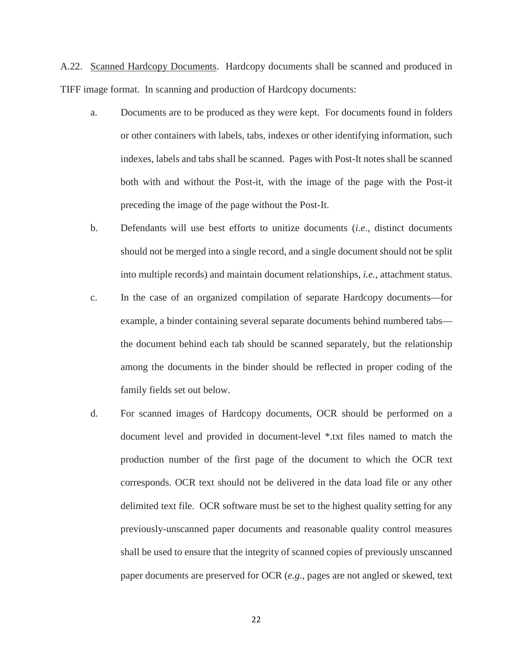A.22. Scanned Hardcopy Documents. Hardcopy documents shall be scanned and produced in TIFF image format. In scanning and production of Hardcopy documents:

- a. Documents are to be produced as they were kept. For documents found in folders or other containers with labels, tabs, indexes or other identifying information, such indexes, labels and tabs shall be scanned. Pages with Post-It notes shall be scanned both with and without the Post-it, with the image of the page with the Post-it preceding the image of the page without the Post-It.
- b. Defendants will use best efforts to unitize documents (*i.e*., distinct documents should not be merged into a single record, and a single document should not be split into multiple records) and maintain document relationships, *i.e.*, attachment status.
- c. In the case of an organized compilation of separate Hardcopy documents—for example, a binder containing several separate documents behind numbered tabs the document behind each tab should be scanned separately, but the relationship among the documents in the binder should be reflected in proper coding of the family fields set out below.
- d. For scanned images of Hardcopy documents, OCR should be performed on a document level and provided in document-level \*.txt files named to match the production number of the first page of the document to which the OCR text corresponds. OCR text should not be delivered in the data load file or any other delimited text file. OCR software must be set to the highest quality setting for any previously-unscanned paper documents and reasonable quality control measures shall be used to ensure that the integrity of scanned copies of previously unscanned paper documents are preserved for OCR (*e.g*., pages are not angled or skewed, text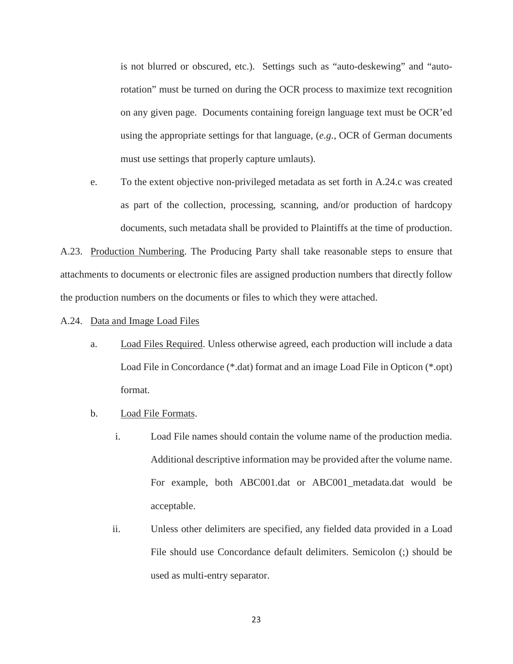is not blurred or obscured, etc.). Settings such as "auto-deskewing" and "autorotation" must be turned on during the OCR process to maximize text recognition on any given page. Documents containing foreign language text must be OCR'ed using the appropriate settings for that language, (*e.g.*, OCR of German documents must use settings that properly capture umlauts).

e. To the extent objective non-privileged metadata as set forth in A.24.c was created as part of the collection, processing, scanning, and/or production of hardcopy documents, such metadata shall be provided to Plaintiffs at the time of production.

A.23. Production Numbering. The Producing Party shall take reasonable steps to ensure that attachments to documents or electronic files are assigned production numbers that directly follow the production numbers on the documents or files to which they were attached.

- A.24. Data and Image Load Files
	- a. Load Files Required. Unless otherwise agreed, each production will include a data Load File in Concordance (\*.dat) format and an image Load File in Opticon (\*.opt) format.
	- b. Load File Formats.
		- i. Load File names should contain the volume name of the production media. Additional descriptive information may be provided after the volume name. For example, both ABC001.dat or ABC001\_metadata.dat would be acceptable.
		- ii. Unless other delimiters are specified, any fielded data provided in a Load File should use Concordance default delimiters. Semicolon (;) should be used as multi-entry separator.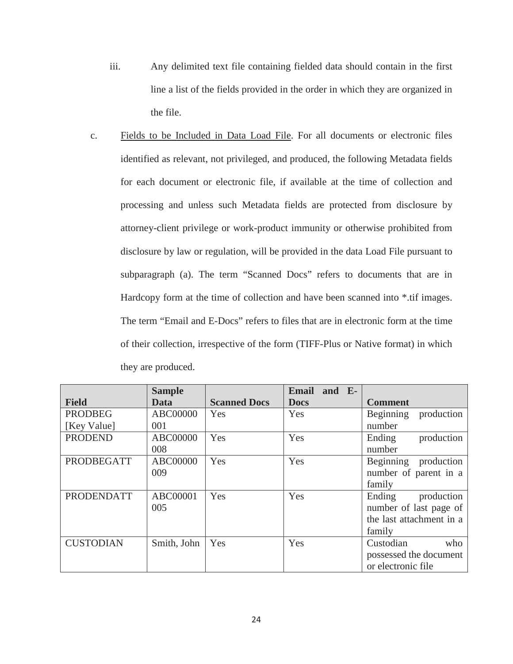- iii. Any delimited text file containing fielded data should contain in the first line a list of the fields provided in the order in which they are organized in the file.
- c. Fields to be Included in Data Load File. For all documents or electronic files identified as relevant, not privileged, and produced, the following Metadata fields for each document or electronic file, if available at the time of collection and processing and unless such Metadata fields are protected from disclosure by attorney-client privilege or work-product immunity or otherwise prohibited from disclosure by law or regulation, will be provided in the data Load File pursuant to subparagraph (a). The term "Scanned Docs" refers to documents that are in Hardcopy form at the time of collection and have been scanned into \*.tif images. The term "Email and E-Docs" refers to files that are in electronic form at the time of their collection, irrespective of the form (TIFF-Plus or Native format) in which they are produced.

|                   | <b>Sample</b>   |                     | <b>Email</b><br>and E- |                          |
|-------------------|-----------------|---------------------|------------------------|--------------------------|
| <b>Field</b>      | Data            | <b>Scanned Docs</b> | <b>Docs</b>            | <b>Comment</b>           |
| <b>PRODBEG</b>    | <b>ABC00000</b> | Yes                 | Yes                    | Beginning<br>production  |
| [Key Value]       | 001             |                     |                        | number                   |
| <b>PRODEND</b>    | ABC00000        | Yes                 | Yes                    | production<br>Ending     |
|                   | 008             |                     |                        | number                   |
| <b>PRODBEGATT</b> | <b>ABC00000</b> | Yes                 | Yes                    | Beginning production     |
|                   | 009             |                     |                        | number of parent in a    |
|                   |                 |                     |                        | family                   |
| <b>PRODENDATT</b> | ABC00001        | Yes                 | Yes                    | production<br>Ending     |
|                   | 005             |                     |                        | number of last page of   |
|                   |                 |                     |                        | the last attachment in a |
|                   |                 |                     |                        | family                   |
| <b>CUSTODIAN</b>  | Smith, John     | Yes                 | Yes                    | Custodian<br>who         |
|                   |                 |                     |                        | possessed the document   |
|                   |                 |                     |                        | or electronic file       |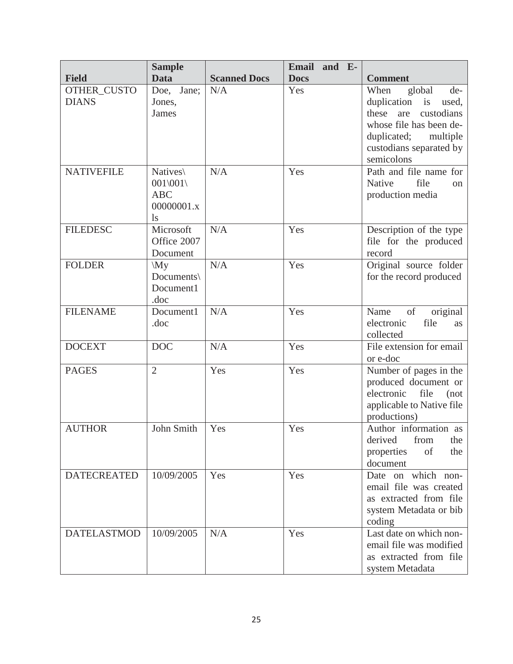|                    | <b>Sample</b>        |                     | <b>Email</b><br>and E- |                                                   |
|--------------------|----------------------|---------------------|------------------------|---------------------------------------------------|
| <b>Field</b>       | <b>Data</b>          | <b>Scanned Docs</b> | <b>Docs</b>            | <b>Comment</b>                                    |
| OTHER_CUSTO        | Doe, Jane;           | N/A                 | Yes                    | global<br>When<br>de-                             |
| <b>DIANS</b>       | Jones,               |                     |                        | duplication<br>is<br>used,                        |
|                    | James                |                     |                        | these<br>are<br>custodians                        |
|                    |                      |                     |                        | whose file has been de-                           |
|                    |                      |                     |                        | duplicated;<br>multiple                           |
|                    |                      |                     |                        | custodians separated by<br>semicolons             |
| <b>NATIVEFILE</b>  | Natives\             | N/A                 | Yes                    | Path and file name for                            |
|                    | 001 001              |                     |                        | file<br>Native<br>$\alpha$                        |
|                    | <b>ABC</b>           |                     |                        | production media                                  |
|                    | 00000001.x           |                     |                        |                                                   |
|                    | $\lg$                |                     |                        |                                                   |
| <b>FILEDESC</b>    | Microsoft            | N/A                 | Yes                    | Description of the type                           |
|                    | Office 2007          |                     |                        | file for the produced                             |
|                    | Document             |                     |                        | record                                            |
| <b>FOLDER</b>      | $\langle My \rangle$ | N/A                 | Yes                    | Original source folder                            |
|                    | Documents\           |                     |                        | for the record produced                           |
|                    | Document1            |                     |                        |                                                   |
| <b>FILENAME</b>    | .doc<br>Document1    | N/A                 | Yes                    | of<br>Name<br>original                            |
|                    | .doc                 |                     |                        | electronic<br>file<br>as                          |
|                    |                      |                     |                        | collected                                         |
| <b>DOCEXT</b>      | <b>DOC</b>           | N/A                 | Yes                    | File extension for email                          |
|                    |                      |                     |                        | or e-doc                                          |
| <b>PAGES</b>       | $\overline{2}$       | Yes                 | Yes                    | Number of pages in the                            |
|                    |                      |                     |                        | produced document or                              |
|                    |                      |                     |                        | electronic<br>file<br>(not)                       |
|                    |                      |                     |                        | applicable to Native file                         |
|                    |                      |                     |                        | productions)                                      |
| <b>AUTHOR</b>      | John Smith           | Yes                 | Yes                    | Author information as                             |
|                    |                      |                     |                        | from<br>derived<br>the<br>of<br>the<br>properties |
|                    |                      |                     |                        | document                                          |
| <b>DATECREATED</b> | 10/09/2005           | Yes                 | Yes                    | Date on which non-                                |
|                    |                      |                     |                        | email file was created                            |
|                    |                      |                     |                        | as extracted from file                            |
|                    |                      |                     |                        | system Metadata or bib                            |
|                    |                      |                     |                        | coding                                            |
| <b>DATELASTMOD</b> | 10/09/2005           | $\rm N/A$           | Yes                    | Last date on which non-                           |
|                    |                      |                     |                        | email file was modified                           |
|                    |                      |                     |                        | as extracted from file                            |
|                    |                      |                     |                        | system Metadata                                   |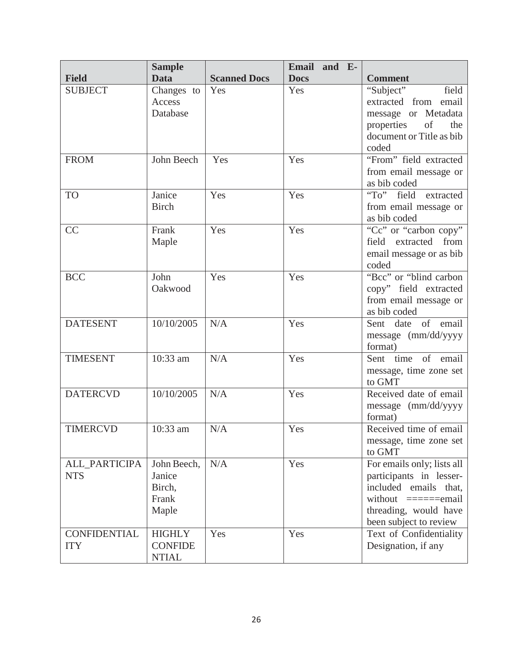|                             | <b>Sample</b>         |                     | Email and E- |                                                  |
|-----------------------------|-----------------------|---------------------|--------------|--------------------------------------------------|
| <b>Field</b>                | <b>Data</b>           | <b>Scanned Docs</b> | <b>Docs</b>  | <b>Comment</b>                                   |
| <b>SUBJECT</b>              | Changes to            | Yes                 | Yes          | "Subject"<br>field                               |
|                             | Access                |                     |              | extracted from email                             |
|                             | Database              |                     |              | message or Metadata                              |
|                             |                       |                     |              | properties<br>of<br>the                          |
|                             |                       |                     |              | document or Title as bib                         |
|                             |                       |                     |              | coded                                            |
| <b>FROM</b>                 | John Beech            | Yes                 | Yes          | "From" field extracted                           |
|                             |                       |                     |              | from email message or                            |
|                             |                       |                     |              | as bib coded                                     |
| <b>TO</b>                   | Janice                | Yes                 | Yes          | "To" field extracted                             |
|                             | <b>Birch</b>          |                     |              | from email message or                            |
|                             |                       |                     |              | as bib coded                                     |
| CC                          | Frank                 | Yes                 | Yes          | "Cc" or "carbon copy"                            |
|                             | Maple                 |                     |              | from<br>extracted<br>field                       |
|                             |                       |                     |              | email message or as bib                          |
|                             |                       |                     |              | coded                                            |
| <b>BCC</b>                  | John                  | Yes                 | Yes          | "Bcc" or "blind carbon                           |
|                             | Oakwood               |                     |              | copy" field extracted                            |
|                             |                       |                     |              | from email message or                            |
|                             |                       |                     |              | as bib coded                                     |
| <b>DATESENT</b>             | 10/10/2005            | N/A                 | Yes          | Sent date of email                               |
|                             |                       |                     |              | message (mm/dd/yyyy                              |
|                             |                       |                     |              | format)                                          |
| <b>TIMESENT</b>             | 10:33 am              | N/A                 | Yes          | Sent time of email                               |
|                             |                       |                     |              | message, time zone set                           |
|                             |                       |                     |              | to GMT                                           |
| <b>DATERCVD</b>             | 10/10/2005            | N/A                 | Yes          | Received date of email                           |
|                             |                       |                     |              | message (mm/dd/yyyy                              |
|                             |                       |                     |              | format)                                          |
| <b>TIMERCVD</b>             | 10:33 am              | N/A                 | Yes          | Received time of email                           |
|                             |                       |                     |              | message, time zone set                           |
|                             |                       |                     |              | to GMT                                           |
| ALL_PARTICIPA<br><b>NTS</b> | John Beech,<br>Janice | N/A                 | Yes          | For emails only; lists all                       |
|                             | Birch,                |                     |              | participants in lesser-<br>included emails that, |
|                             | Frank                 |                     |              | without $=====$                                  |
|                             | Maple                 |                     |              | threading, would have                            |
|                             |                       |                     |              | been subject to review                           |
| <b>CONFIDENTIAL</b>         | <b>HIGHLY</b>         | Yes                 | Yes          | Text of Confidentiality                          |
| <b>ITY</b>                  | <b>CONFIDE</b>        |                     |              | Designation, if any                              |
|                             | <b>NTIAL</b>          |                     |              |                                                  |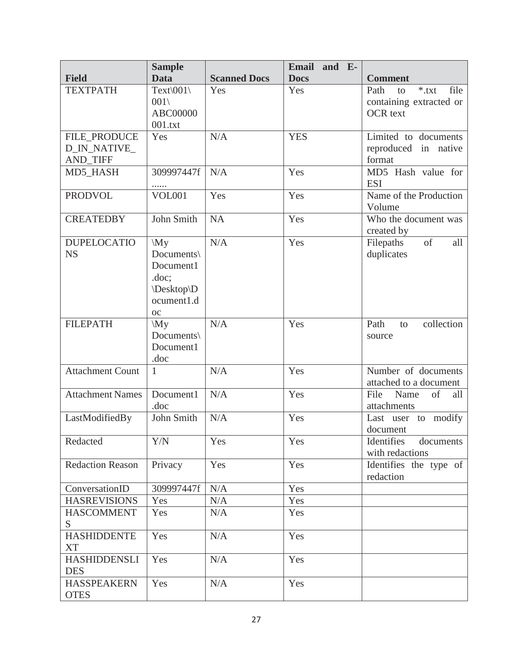|                         | <b>Sample</b>                       |                     | Email<br>and E- |                                |
|-------------------------|-------------------------------------|---------------------|-----------------|--------------------------------|
| <b>Field</b>            | <b>Data</b>                         | <b>Scanned Docs</b> | <b>Docs</b>     | <b>Comment</b>                 |
| <b>TEXTPATH</b>         | Text\001\                           | Yes                 | Yes             | file<br>$*$ .txt<br>Path<br>to |
|                         | 001                                 |                     |                 | containing extracted or        |
|                         | <b>ABC00000</b>                     |                     |                 | <b>OCR</b> text                |
|                         | 001.txt                             |                     |                 |                                |
| FILE_PRODUCE            | Yes                                 | N/A                 | <b>YES</b>      | Limited to documents           |
| D_IN_NATIVE_            |                                     |                     |                 | reproduced in native           |
| <b>AND_TIFF</b>         |                                     |                     |                 | format                         |
| MD5_HASH                | 309997447f                          | N/A                 | Yes             | MD5 Hash value for             |
|                         | .                                   |                     |                 | <b>ESI</b>                     |
| <b>PRODVOL</b>          | <b>VOL001</b>                       | Yes                 | Yes             | Name of the Production         |
|                         |                                     |                     |                 | Volume                         |
| <b>CREATEDBY</b>        | John Smith                          | <b>NA</b>           | Yes             | Who the document was           |
|                         |                                     |                     |                 | created by                     |
| <b>DUPELOCATIO</b>      | $\langle My \rangle$                | N/A                 | Yes             | of<br>Filepaths<br>all         |
| <b>NS</b>               | Documents\                          |                     |                 | duplicates                     |
|                         | Document1                           |                     |                 |                                |
|                         | doc;                                |                     |                 |                                |
|                         | \Desktop\D<br>ocument1.d            |                     |                 |                                |
|                         |                                     |                     |                 |                                |
| <b>FILEPATH</b>         | <b>OC</b><br>$\mathbf{M}\mathbf{y}$ | N/A                 | Yes             | collection<br>Path<br>to       |
|                         | Documents\                          |                     |                 | source                         |
|                         | Document1                           |                     |                 |                                |
|                         | .doc                                |                     |                 |                                |
| <b>Attachment Count</b> | $\mathbf{1}$                        | N/A                 | Yes             | Number of documents            |
|                         |                                     |                     |                 | attached to a document         |
| <b>Attachment Names</b> | Document1                           | N/A                 | Yes             | Name<br>of<br>File<br>all      |
|                         | .doc                                |                     |                 | attachments                    |
| LastModifiedBy          | John Smith                          | N/A                 | Yes             | modify<br>Last user to         |
|                         |                                     |                     |                 | document                       |
| Redacted                | Y/N                                 | Yes                 | Yes             | Identifies<br>documents        |
|                         |                                     |                     |                 | with redactions                |
| <b>Redaction Reason</b> | Privacy                             | Yes                 | Yes             | Identifies the type of         |
|                         |                                     |                     |                 | redaction                      |
| ConversationID          | 309997447f                          | N/A                 | Yes             |                                |
| <b>HASREVISIONS</b>     | Yes                                 | N/A                 | Yes             |                                |
| <b>HASCOMMENT</b>       | Yes                                 | N/A                 | Yes             |                                |
| S                       |                                     |                     |                 |                                |
| <b>HASHIDDENTE</b>      | Yes                                 | N/A                 | Yes             |                                |
| XT                      |                                     |                     |                 |                                |
| <b>HASHIDDENSLI</b>     | Yes                                 | N/A                 | Yes             |                                |
| <b>DES</b>              |                                     |                     |                 |                                |
| <b>HASSPEAKERN</b>      | Yes                                 | N/A                 | Yes             |                                |
| <b>OTES</b>             |                                     |                     |                 |                                |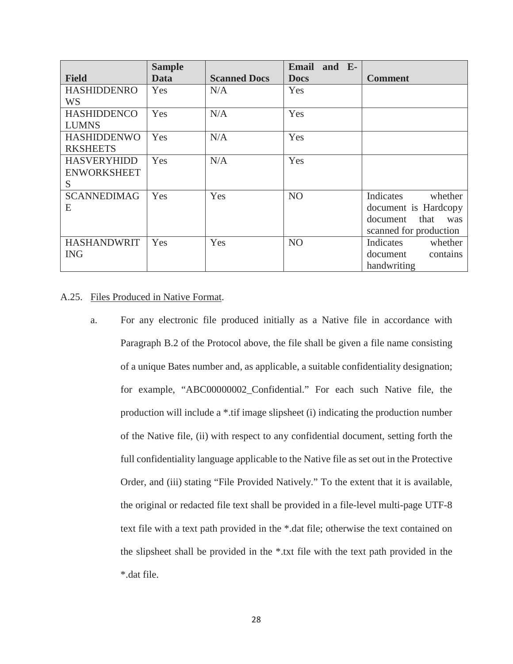|                    | <b>Sample</b> |                     | Email and E-   |                         |
|--------------------|---------------|---------------------|----------------|-------------------------|
| <b>Field</b>       | Data          | <b>Scanned Docs</b> | <b>Docs</b>    | <b>Comment</b>          |
| <b>HASHIDDENRO</b> | Yes           | N/A                 | Yes            |                         |
| <b>WS</b>          |               |                     |                |                         |
| <b>HASHIDDENCO</b> | Yes           | N/A                 | Yes            |                         |
| <b>LUMNS</b>       |               |                     |                |                         |
| <b>HASHIDDENWO</b> | Yes           | N/A                 | Yes            |                         |
| <b>RKSHEETS</b>    |               |                     |                |                         |
| <b>HASVERYHIDD</b> | Yes           | N/A                 | Yes            |                         |
| <b>ENWORKSHEET</b> |               |                     |                |                         |
| S                  |               |                     |                |                         |
| <b>SCANNEDIMAG</b> | Yes           | Yes                 | N <sub>O</sub> | Indicates<br>whether    |
| E                  |               |                     |                | document is Hardcopy    |
|                    |               |                     |                | document<br>that<br>was |
|                    |               |                     |                | scanned for production  |
| <b>HASHANDWRIT</b> | Yes           | Yes                 | N <sub>O</sub> | Indicates<br>whether    |
| <b>ING</b>         |               |                     |                | document<br>contains    |
|                    |               |                     |                | handwriting             |

# A.25. Files Produced in Native Format.

a. For any electronic file produced initially as a Native file in accordance with Paragraph B.2 of the Protocol above, the file shall be given a file name consisting of a unique Bates number and, as applicable, a suitable confidentiality designation; for example, "ABC00000002\_Confidential." For each such Native file, the production will include a \*.tif image slipsheet (i) indicating the production number of the Native file, (ii) with respect to any confidential document, setting forth the full confidentiality language applicable to the Native file as set out in the Protective Order, and (iii) stating "File Provided Natively." To the extent that it is available, the original or redacted file text shall be provided in a file-level multi-page UTF-8 text file with a text path provided in the \*.dat file; otherwise the text contained on the slipsheet shall be provided in the \*.txt file with the text path provided in the \*.dat file.